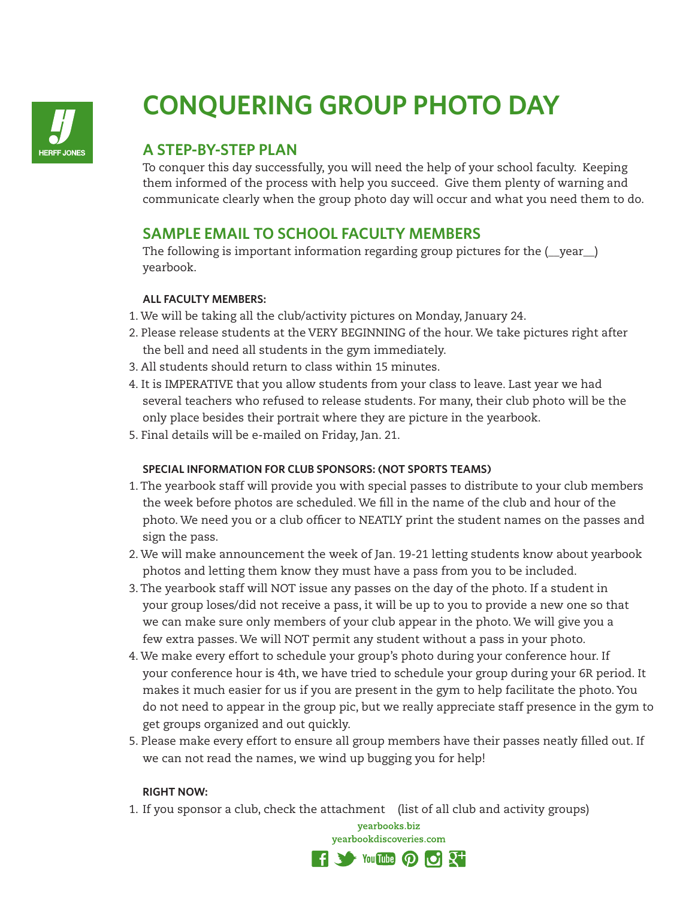

# **CONQUERING GROUP PHOTO DAY**

### **A STEP-BY-STEP PLAN**

To conquer this day successfully, you will need the help of your school faculty. Keeping them informed of the process with help you succeed. Give them plenty of warning and communicate clearly when the group photo day will occur and what you need them to do.

### **SAMPLE EMAIL TO SCHOOL FACULTY MEMBERS**

The following is important information regarding group pictures for the ( \_vear \_) yearbook.

#### **ALL FACULTY MEMBERS:**

- 1. We will be taking all the club/activity pictures on Monday, January 24.
- 2. Please release students at the VERY BEGINNING of the hour. We take pictures right after the bell and need all students in the gym immediately.
- 3. All students should return to class within 15 minutes.
- 4. It is IMPERATIVE that you allow students from your class to leave. Last year we had several teachers who refused to release students. For many, their club photo will be the only place besides their portrait where they are picture in the yearbook.
- 5. Final details will be e-mailed on Friday, Jan. 21.

#### **SPECIAL INFORMATION FOR CLUB SPONSORS: (NOT SPORTS TEAMS)**

- 1. The yearbook staff will provide you with special passes to distribute to your club members the week before photos are scheduled. We fill in the name of the club and hour of the photo. We need you or a club officer to NEATLY print the student names on the passes and sign the pass.
- 2. We will make announcement the week of Jan. 19-21 letting students know about yearbook photos and letting them know they must have a pass from you to be included.
- 3. The yearbook staff will NOT issue any passes on the day of the photo. If a student in your group loses/did not receive a pass, it will be up to you to provide a new one so that we can make sure only members of your club appear in the photo. We will give you a few extra passes. We will NOT permit any student without a pass in your photo.
- 4. We make every effort to schedule your group's photo during your conference hour. If your conference hour is 4th, we have tried to schedule your group during your 6R period. It makes it much easier for us if you are present in the gym to help facilitate the photo. You do not need to appear in the group pic, but we really appreciate staff presence in the gym to get groups organized and out quickly.
- 5. Please make every effort to ensure all group members have their passes neatly filled out. If we can not read the names, we wind up bugging you for help!

#### **RIGHT NOW:**

1. If you sponsor a club, check the attachment (list of all club and activity groups)

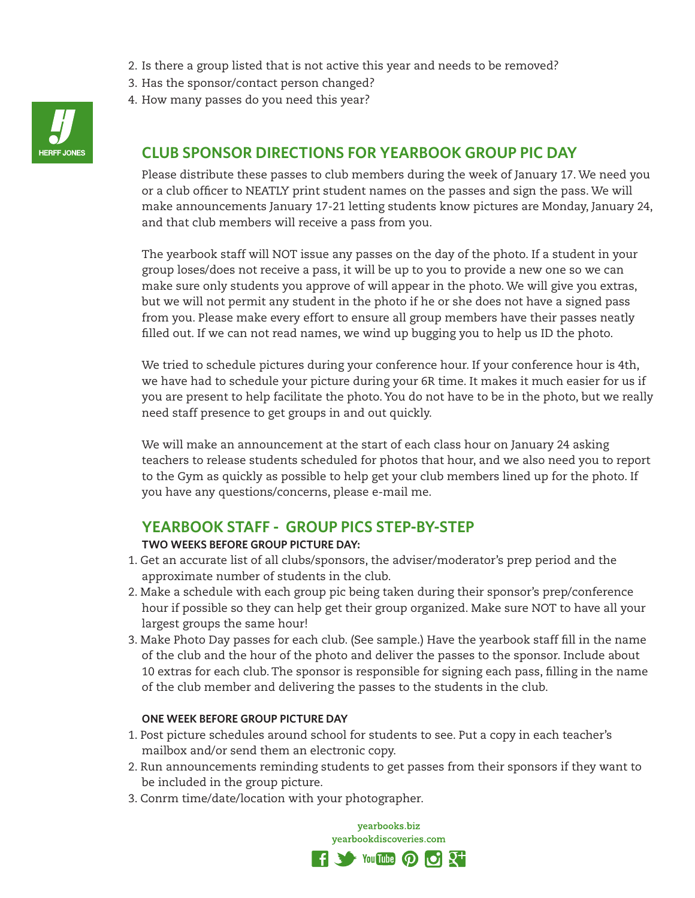- 2. Is there a group listed that is not active this year and needs to be removed?
- 3. Has the sponsor/contact person changed?
- 4. How many passes do you need this year?



### **CLUB SPONSOR DIRECTIONS FOR YEARBOOK GROUP PIC DAY**

Please distribute these passes to club members during the week of January 17. We need you or a club officer to NEATLY print student names on the passes and sign the pass. We will make announcements January 17-21 letting students know pictures are Monday, January 24, and that club members will receive a pass from you.

The yearbook staff will NOT issue any passes on the day of the photo. If a student in your group loses/does not receive a pass, it will be up to you to provide a new one so we can make sure only students you approve of will appear in the photo. We will give you extras, but we will not permit any student in the photo if he or she does not have a signed pass from you. Please make every effort to ensure all group members have their passes neatly filled out. If we can not read names, we wind up bugging you to help us ID the photo.

We tried to schedule pictures during your conference hour. If your conference hour is 4th, we have had to schedule your picture during your 6R time. It makes it much easier for us if you are present to help facilitate the photo. You do not have to be in the photo, but we really need staff presence to get groups in and out quickly.

We will make an announcement at the start of each class hour on January 24 asking teachers to release students scheduled for photos that hour, and we also need you to report to the Gym as quickly as possible to help get your club members lined up for the photo. If you have any questions/concerns, please e-mail me.

#### **YEARBOOK STAFF - GROUP PICS STEP-BY-STEP**

#### **TWO WEEKS BEFORE GROUP PICTURE DAY:**

- 1. Get an accurate list of all clubs/sponsors, the adviser/moderator's prep period and the approximate number of students in the club.
- 2. Make a schedule with each group pic being taken during their sponsor's prep/conference hour if possible so they can help get their group organized. Make sure NOT to have all your largest groups the same hour!
- 3. Make Photo Day passes for each club. (See sample.) Have the yearbook staff fill in the name of the club and the hour of the photo and deliver the passes to the sponsor. Include about 10 extras for each club. The sponsor is responsible for signing each pass, filling in the name of the club member and delivering the passes to the students in the club.

#### **ONE WEEK BEFORE GROUP PICTURE DAY**

- 1. Post picture schedules around school for students to see. Put a copy in each teacher's mailbox and/or send them an electronic copy.
- 2. Run announcements reminding students to get passes from their sponsors if they want to be included in the group picture.
- 3. Conrm time/date/location with your photographer.

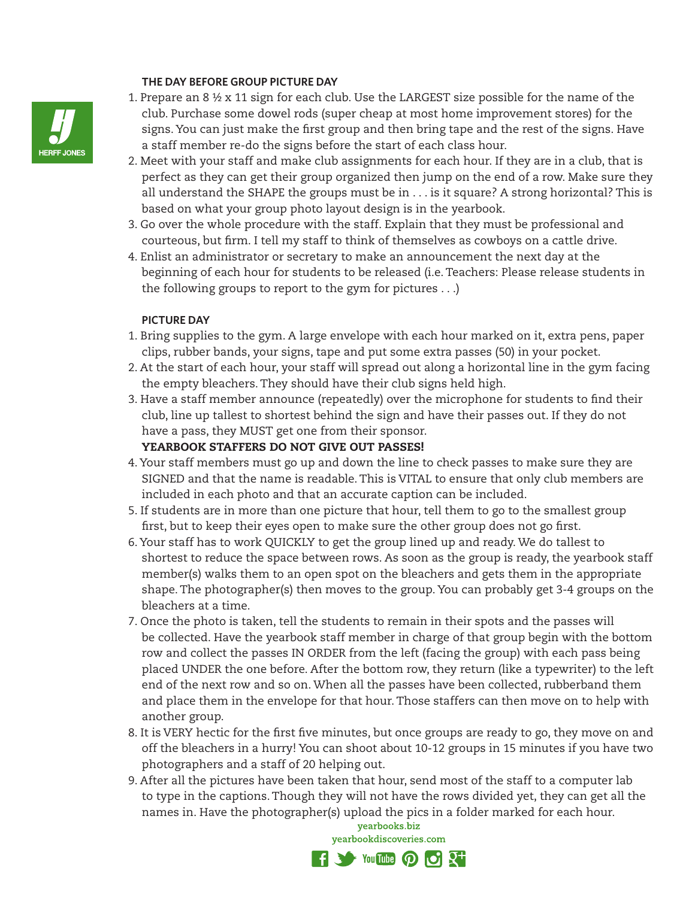#### **THE DAY BEFORE GROUP PICTURE DAY**



- 2. Meet with your staff and make club assignments for each hour. If they are in a club, that is perfect as they can get their group organized then jump on the end of a row. Make sure they all understand the SHAPE the groups must be in . . . is it square? A strong horizontal? This is based on what your group photo layout design is in the yearbook.
- 3. Go over the whole procedure with the staff. Explain that they must be professional and courteous, but firm. I tell my staff to think of themselves as cowboys on a cattle drive.
- 4. Enlist an administrator or secretary to make an announcement the next day at the beginning of each hour for students to be released (i.e. Teachers: Please release students in the following groups to report to the gym for pictures . . .)

#### **PICTURE DAY**

- 1. Bring supplies to the gym. A large envelope with each hour marked on it, extra pens, paper clips, rubber bands, your signs, tape and put some extra passes (50) in your pocket.
- 2. At the start of each hour, your staff will spread out along a horizontal line in the gym facing the empty bleachers. They should have their club signs held high.
- 3. Have a staff member announce (repeatedly) over the microphone for students to find their club, line up tallest to shortest behind the sign and have their passes out. If they do not have a pass, they MUST get one from their sponsor. YEARBOOK STAFFERS DO NOT GIVE OUT PASSES!
- 4. Your staff members must go up and down the line to check passes to make sure they are SIGNED and that the name is readable. This is VITAL to ensure that only club members are included in each photo and that an accurate caption can be included.
- 5. If students are in more than one picture that hour, tell them to go to the smallest group first, but to keep their eyes open to make sure the other group does not go first.
- 6. Your staff has to work QUICKLY to get the group lined up and ready. We do tallest to shortest to reduce the space between rows. As soon as the group is ready, the yearbook staff member(s) walks them to an open spot on the bleachers and gets them in the appropriate shape. The photographer(s) then moves to the group. You can probably get 3-4 groups on the bleachers at a time.
- 7. Once the photo is taken, tell the students to remain in their spots and the passes will be collected. Have the yearbook staff member in charge of that group begin with the bottom row and collect the passes IN ORDER from the left (facing the group) with each pass being placed UNDER the one before. After the bottom row, they return (like a typewriter) to the left end of the next row and so on. When all the passes have been collected, rubberband them and place them in the envelope for that hour. Those staffers can then move on to help with another group.
- 8. It is VERY hectic for the first five minutes, but once groups are ready to go, they move on and off the bleachers in a hurry! You can shoot about 10-12 groups in 15 minutes if you have two photographers and a staff of 20 helping out.
- 9. After all the pictures have been taken that hour, send most of the staff to a computer lab to type in the captions. Though they will not have the rows divided yet, they can get all the names in. Have the photographer(s) upload the pics in a folder marked for each hour.



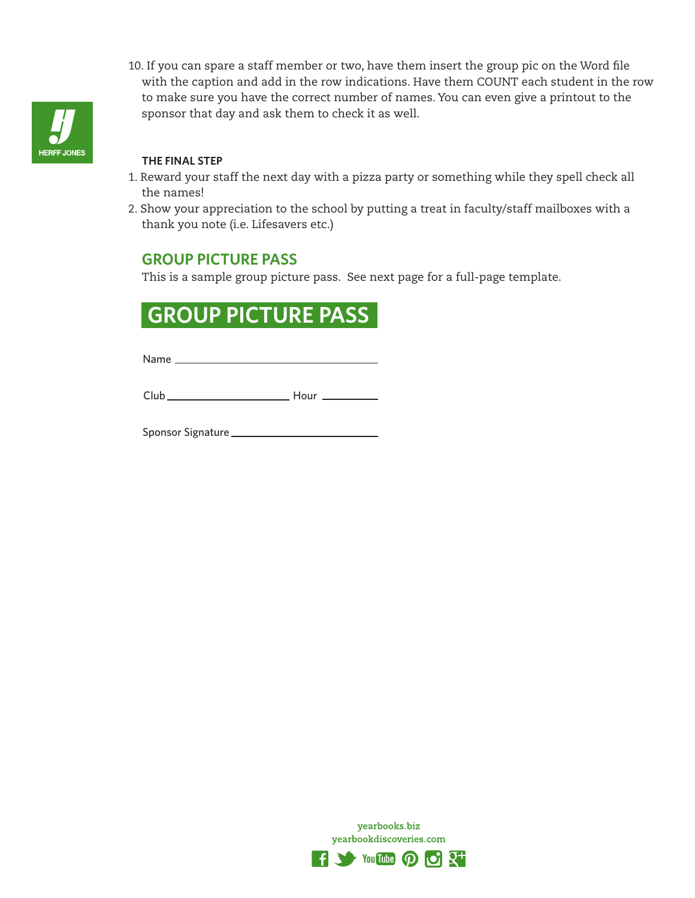

10. If you can spare a staff member or two, have them insert the group pic on the Word file with the caption and add in the row indications. Have them COUNT each student in the row to make sure you have the correct number of names. You can even give a printout to the sponsor that day and ask them to check it as well.

#### **THE FINAL STEP**

- 1. Reward your staff the next day with a pizza party or something while they spell check all the names!
- 2. Show your appreciation to the school by putting a treat in faculty/staff mailboxes with a thank you note (i.e. Lifesavers etc.)

### **GROUP PICTURE PASS**

This is a sample group picture pass. See next page for a full-page template.

## **GROUP PICTURE PASS**

Name \_\_

Club Hour

Sponsor Signature

yearbooks.biz yearbookdiscoveries.com